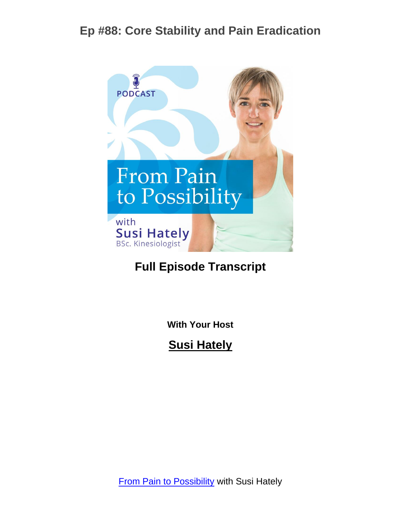

## **Full Episode Transcript**

**With Your Host**

**Susi Hately**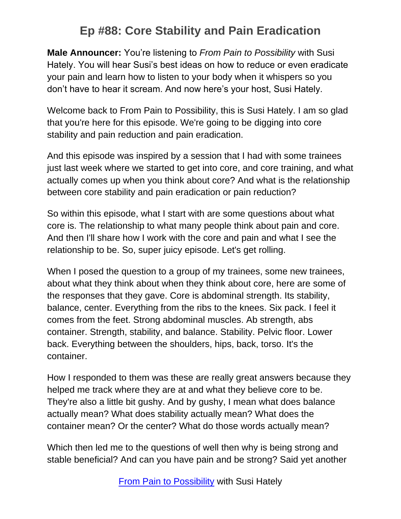**Male Announcer:** You're listening to *From Pain to Possibility* with Susi Hately. You will hear Susi's best ideas on how to reduce or even eradicate your pain and learn how to listen to your body when it whispers so you don't have to hear it scream. And now here's your host, Susi Hately.

Welcome back to From Pain to Possibility, this is Susi Hately. I am so glad that you're here for this episode. We're going to be digging into core stability and pain reduction and pain eradication.

And this episode was inspired by a session that I had with some trainees just last week where we started to get into core, and core training, and what actually comes up when you think about core? And what is the relationship between core stability and pain eradication or pain reduction?

So within this episode, what I start with are some questions about what core is. The relationship to what many people think about pain and core. And then I'll share how I work with the core and pain and what I see the relationship to be. So, super juicy episode. Let's get rolling.

When I posed the question to a group of my trainees, some new trainees, about what they think about when they think about core, here are some of the responses that they gave. Core is abdominal strength. Its stability, balance, center. Everything from the ribs to the knees. Six pack. I feel it comes from the feet. Strong abdominal muscles. Ab strength, abs container. Strength, stability, and balance. Stability. Pelvic floor. Lower back. Everything between the shoulders, hips, back, torso. It's the container.

How I responded to them was these are really great answers because they helped me track where they are at and what they believe core to be. They're also a little bit gushy. And by gushy, I mean what does balance actually mean? What does stability actually mean? What does the container mean? Or the center? What do those words actually mean?

Which then led me to the questions of well then why is being strong and stable beneficial? And can you have pain and be strong? Said yet another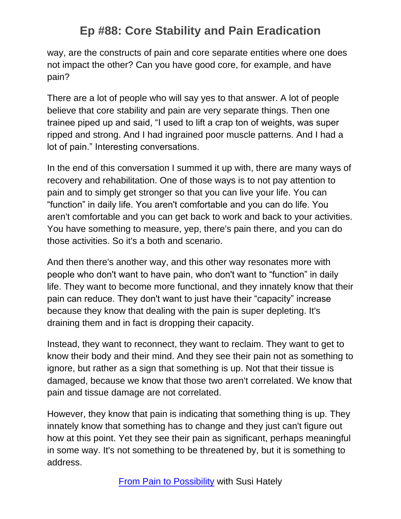way, are the constructs of pain and core separate entities where one does not impact the other? Can you have good core, for example, and have pain?

There are a lot of people who will say yes to that answer. A lot of people believe that core stability and pain are very separate things. Then one trainee piped up and said, "I used to lift a crap ton of weights, was super ripped and strong. And I had ingrained poor muscle patterns. And I had a lot of pain." Interesting conversations.

In the end of this conversation I summed it up with, there are many ways of recovery and rehabilitation. One of those ways is to not pay attention to pain and to simply get stronger so that you can live your life. You can "function" in daily life. You aren't comfortable and you can do life. You aren't comfortable and you can get back to work and back to your activities. You have something to measure, yep, there's pain there, and you can do those activities. So it's a both and scenario.

And then there's another way, and this other way resonates more with people who don't want to have pain, who don't want to "function" in daily life. They want to become more functional, and they innately know that their pain can reduce. They don't want to just have their "capacity" increase because they know that dealing with the pain is super depleting. It's draining them and in fact is dropping their capacity.

Instead, they want to reconnect, they want to reclaim. They want to get to know their body and their mind. And they see their pain not as something to ignore, but rather as a sign that something is up. Not that their tissue is damaged, because we know that those two aren't correlated. We know that pain and tissue damage are not correlated.

However, they know that pain is indicating that something thing is up. They innately know that something has to change and they just can't figure out how at this point. Yet they see their pain as significant, perhaps meaningful in some way. It's not something to be threatened by, but it is something to address.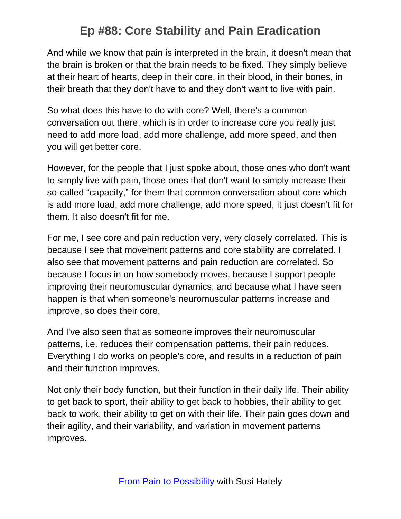And while we know that pain is interpreted in the brain, it doesn't mean that the brain is broken or that the brain needs to be fixed. They simply believe at their heart of hearts, deep in their core, in their blood, in their bones, in their breath that they don't have to and they don't want to live with pain.

So what does this have to do with core? Well, there's a common conversation out there, which is in order to increase core you really just need to add more load, add more challenge, add more speed, and then you will get better core.

However, for the people that I just spoke about, those ones who don't want to simply live with pain, those ones that don't want to simply increase their so-called "capacity," for them that common conversation about core which is add more load, add more challenge, add more speed, it just doesn't fit for them. It also doesn't fit for me.

For me, I see core and pain reduction very, very closely correlated. This is because I see that movement patterns and core stability are correlated. I also see that movement patterns and pain reduction are correlated. So because I focus in on how somebody moves, because I support people improving their neuromuscular dynamics, and because what I have seen happen is that when someone's neuromuscular patterns increase and improve, so does their core.

And I've also seen that as someone improves their neuromuscular patterns, i.e. reduces their compensation patterns, their pain reduces. Everything I do works on people's core, and results in a reduction of pain and their function improves.

Not only their body function, but their function in their daily life. Their ability to get back to sport, their ability to get back to hobbies, their ability to get back to work, their ability to get on with their life. Their pain goes down and their agility, and their variability, and variation in movement patterns improves.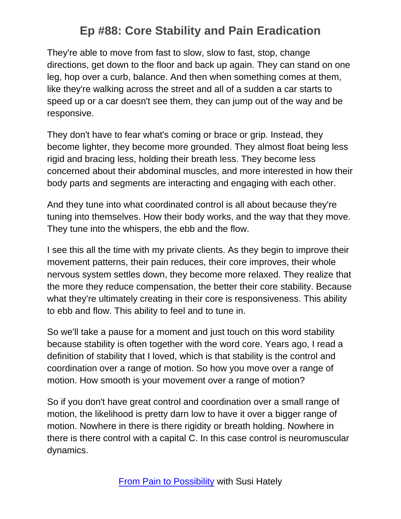They're able to move from fast to slow, slow to fast, stop, change directions, get down to the floor and back up again. They can stand on one leg, hop over a curb, balance. And then when something comes at them, like they're walking across the street and all of a sudden a car starts to speed up or a car doesn't see them, they can jump out of the way and be responsive.

They don't have to fear what's coming or brace or grip. Instead, they become lighter, they become more grounded. They almost float being less rigid and bracing less, holding their breath less. They become less concerned about their abdominal muscles, and more interested in how their body parts and segments are interacting and engaging with each other.

And they tune into what coordinated control is all about because they're tuning into themselves. How their body works, and the way that they move. They tune into the whispers, the ebb and the flow.

I see this all the time with my private clients. As they begin to improve their movement patterns, their pain reduces, their core improves, their whole nervous system settles down, they become more relaxed. They realize that the more they reduce compensation, the better their core stability. Because what they're ultimately creating in their core is responsiveness. This ability to ebb and flow. This ability to feel and to tune in.

So we'll take a pause for a moment and just touch on this word stability because stability is often together with the word core. Years ago, I read a definition of stability that I loved, which is that stability is the control and coordination over a range of motion. So how you move over a range of motion. How smooth is your movement over a range of motion?

So if you don't have great control and coordination over a small range of motion, the likelihood is pretty darn low to have it over a bigger range of motion. Nowhere in there is there rigidity or breath holding. Nowhere in there is there control with a capital C. In this case control is neuromuscular dynamics.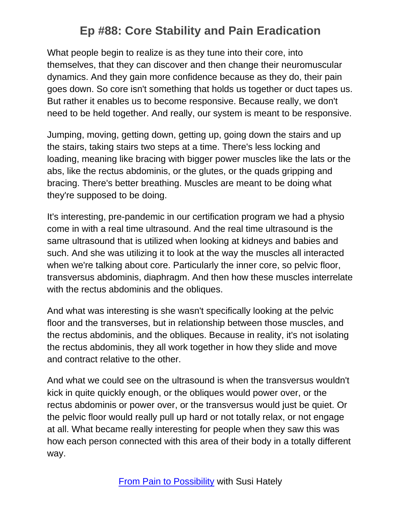What people begin to realize is as they tune into their core, into themselves, that they can discover and then change their neuromuscular dynamics. And they gain more confidence because as they do, their pain goes down. So core isn't something that holds us together or duct tapes us. But rather it enables us to become responsive. Because really, we don't need to be held together. And really, our system is meant to be responsive.

Jumping, moving, getting down, getting up, going down the stairs and up the stairs, taking stairs two steps at a time. There's less locking and loading, meaning like bracing with bigger power muscles like the lats or the abs, like the rectus abdominis, or the glutes, or the quads gripping and bracing. There's better breathing. Muscles are meant to be doing what they're supposed to be doing.

It's interesting, pre-pandemic in our certification program we had a physio come in with a real time ultrasound. And the real time ultrasound is the same ultrasound that is utilized when looking at kidneys and babies and such. And she was utilizing it to look at the way the muscles all interacted when we're talking about core. Particularly the inner core, so pelvic floor, transversus abdominis, diaphragm. And then how these muscles interrelate with the rectus abdominis and the obliques.

And what was interesting is she wasn't specifically looking at the pelvic floor and the transverses, but in relationship between those muscles, and the rectus abdominis, and the obliques. Because in reality, it's not isolating the rectus abdominis, they all work together in how they slide and move and contract relative to the other.

And what we could see on the ultrasound is when the transversus wouldn't kick in quite quickly enough, or the obliques would power over, or the rectus abdominis or power over, or the transversus would just be quiet. Or the pelvic floor would really pull up hard or not totally relax, or not engage at all. What became really interesting for people when they saw this was how each person connected with this area of their body in a totally different way.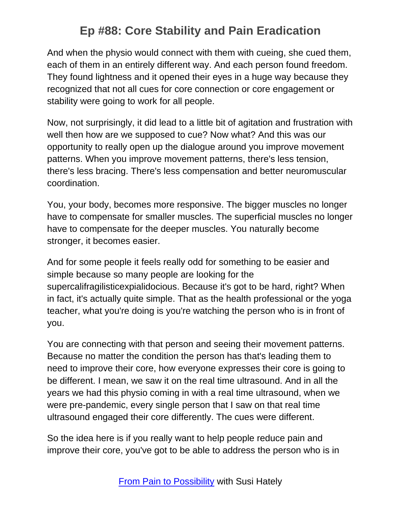And when the physio would connect with them with cueing, she cued them, each of them in an entirely different way. And each person found freedom. They found lightness and it opened their eyes in a huge way because they recognized that not all cues for core connection or core engagement or stability were going to work for all people.

Now, not surprisingly, it did lead to a little bit of agitation and frustration with well then how are we supposed to cue? Now what? And this was our opportunity to really open up the dialogue around you improve movement patterns. When you improve movement patterns, there's less tension, there's less bracing. There's less compensation and better neuromuscular coordination.

You, your body, becomes more responsive. The bigger muscles no longer have to compensate for smaller muscles. The superficial muscles no longer have to compensate for the deeper muscles. You naturally become stronger, it becomes easier.

And for some people it feels really odd for something to be easier and simple because so many people are looking for the supercalifragilisticexpialidocious. Because it's got to be hard, right? When in fact, it's actually quite simple. That as the health professional or the yoga teacher, what you're doing is you're watching the person who is in front of you.

You are connecting with that person and seeing their movement patterns. Because no matter the condition the person has that's leading them to need to improve their core, how everyone expresses their core is going to be different. I mean, we saw it on the real time ultrasound. And in all the years we had this physio coming in with a real time ultrasound, when we were pre-pandemic, every single person that I saw on that real time ultrasound engaged their core differently. The cues were different.

So the idea here is if you really want to help people reduce pain and improve their core, you've got to be able to address the person who is in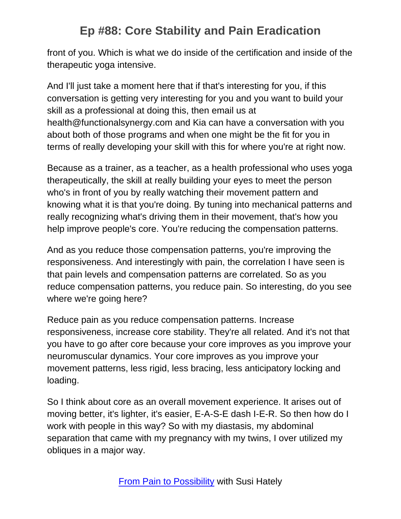front of you. Which is what we do inside of the certification and inside of the therapeutic yoga intensive.

And I'll just take a moment here that if that's interesting for you, if this conversation is getting very interesting for you and you want to build your skill as a professional at doing this, then email us at health@functionalsynergy.com and Kia can have a conversation with you about both of those programs and when one might be the fit for you in terms of really developing your skill with this for where you're at right now.

Because as a trainer, as a teacher, as a health professional who uses yoga therapeutically, the skill at really building your eyes to meet the person who's in front of you by really watching their movement pattern and knowing what it is that you're doing. By tuning into mechanical patterns and really recognizing what's driving them in their movement, that's how you help improve people's core. You're reducing the compensation patterns.

And as you reduce those compensation patterns, you're improving the responsiveness. And interestingly with pain, the correlation I have seen is that pain levels and compensation patterns are correlated. So as you reduce compensation patterns, you reduce pain. So interesting, do you see where we're going here?

Reduce pain as you reduce compensation patterns. Increase responsiveness, increase core stability. They're all related. And it's not that you have to go after core because your core improves as you improve your neuromuscular dynamics. Your core improves as you improve your movement patterns, less rigid, less bracing, less anticipatory locking and loading.

So I think about core as an overall movement experience. It arises out of moving better, it's lighter, it's easier, E-A-S-E dash I-E-R. So then how do I work with people in this way? So with my diastasis, my abdominal separation that came with my pregnancy with my twins, I over utilized my obliques in a major way.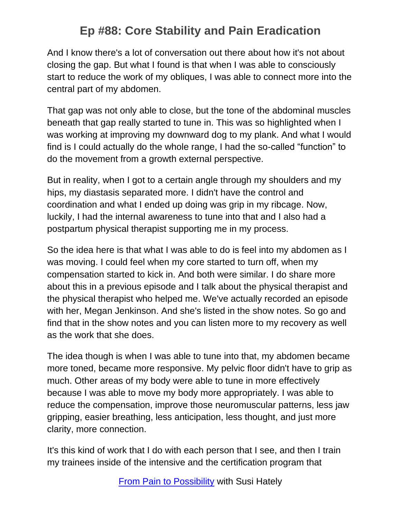And I know there's a lot of conversation out there about how it's not about closing the gap. But what I found is that when I was able to consciously start to reduce the work of my obliques, I was able to connect more into the central part of my abdomen.

That gap was not only able to close, but the tone of the abdominal muscles beneath that gap really started to tune in. This was so highlighted when I was working at improving my downward dog to my plank. And what I would find is I could actually do the whole range, I had the so-called "function" to do the movement from a growth external perspective.

But in reality, when I got to a certain angle through my shoulders and my hips, my diastasis separated more. I didn't have the control and coordination and what I ended up doing was grip in my ribcage. Now, luckily, I had the internal awareness to tune into that and I also had a postpartum physical therapist supporting me in my process.

So the idea here is that what I was able to do is feel into my abdomen as I was moving. I could feel when my core started to turn off, when my compensation started to kick in. And both were similar. I do share more about this in a previous episode and I talk about the physical therapist and the physical therapist who helped me. We've actually recorded an episode with her, Megan Jenkinson. And she's listed in the show notes. So go and find that in the show notes and you can listen more to my recovery as well as the work that she does.

The idea though is when I was able to tune into that, my abdomen became more toned, became more responsive. My pelvic floor didn't have to grip as much. Other areas of my body were able to tune in more effectively because I was able to move my body more appropriately. I was able to reduce the compensation, improve those neuromuscular patterns, less jaw gripping, easier breathing, less anticipation, less thought, and just more clarity, more connection.

It's this kind of work that I do with each person that I see, and then I train my trainees inside of the intensive and the certification program that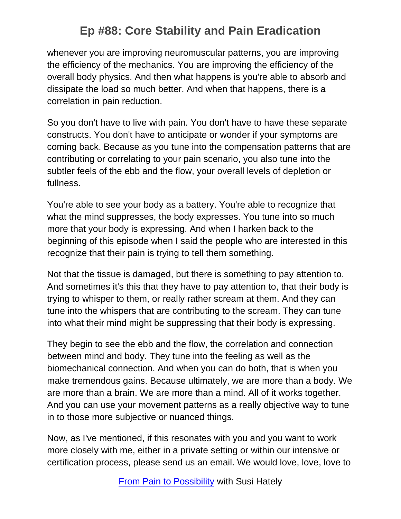whenever you are improving neuromuscular patterns, you are improving the efficiency of the mechanics. You are improving the efficiency of the overall body physics. And then what happens is you're able to absorb and dissipate the load so much better. And when that happens, there is a correlation in pain reduction.

So you don't have to live with pain. You don't have to have these separate constructs. You don't have to anticipate or wonder if your symptoms are coming back. Because as you tune into the compensation patterns that are contributing or correlating to your pain scenario, you also tune into the subtler feels of the ebb and the flow, your overall levels of depletion or fullness.

You're able to see your body as a battery. You're able to recognize that what the mind suppresses, the body expresses. You tune into so much more that your body is expressing. And when I harken back to the beginning of this episode when I said the people who are interested in this recognize that their pain is trying to tell them something.

Not that the tissue is damaged, but there is something to pay attention to. And sometimes it's this that they have to pay attention to, that their body is trying to whisper to them, or really rather scream at them. And they can tune into the whispers that are contributing to the scream. They can tune into what their mind might be suppressing that their body is expressing.

They begin to see the ebb and the flow, the correlation and connection between mind and body. They tune into the feeling as well as the biomechanical connection. And when you can do both, that is when you make tremendous gains. Because ultimately, we are more than a body. We are more than a brain. We are more than a mind. All of it works together. And you can use your movement patterns as a really objective way to tune in to those more subjective or nuanced things.

Now, as I've mentioned, if this resonates with you and you want to work more closely with me, either in a private setting or within our intensive or certification process, please send us an email. We would love, love, love to